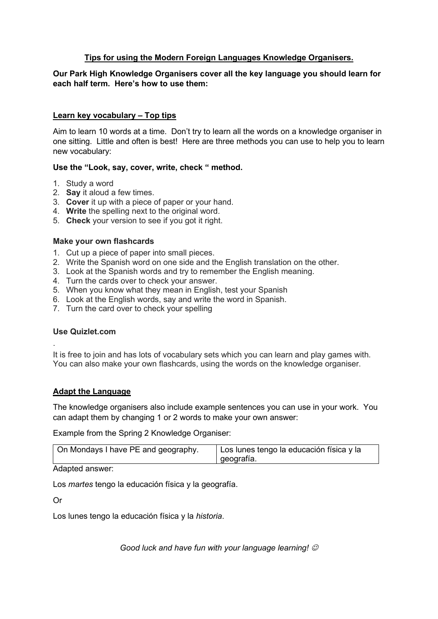# **Tips for using the Modern Foreign Languages Knowledge Organisers.**

# **Our Park High Knowledge Organisers cover all the key language you should learn for each half term. Here's how to use them:**

# **Learn key vocabulary – Top tips**

Aim to learn 10 words at a time. Don't try to learn all the words on a knowledge organiser in one sitting. Little and often is best! Here are three methods you can use to help you to learn new vocabulary:

# **Use the "Look, say, cover, write, check " method.**

- 1. Study a word
- 2. **Say** it aloud a few times.
- 3. **Cover** it up with a piece of paper or your hand.
- 4. **Write** the spelling next to the original word.
- 5. **Check** your version to see if you got it right.

### **Make your own flashcards**

- 1. Cut up a piece of paper into small pieces.
- 2. Write the Spanish word on one side and the English translation on the other.
- 3. Look at the Spanish words and try to remember the English meaning.
- 4. Turn the cards over to check your answer.
- 5. When you know what they mean in English, test your Spanish
- 6. Look at the English words, say and write the word in Spanish.
- 7. Turn the card over to check your spelling

#### **Use Quizlet.com**

.

It is free to join and has lots of vocabulary sets which you can learn and play games with. You can also make your own flashcards, using the words on the knowledge organiser.

# **Adapt the Language**

The knowledge organisers also include example sentences you can use in your work. You can adapt them by changing 1 or 2 words to make your own answer:

Example from the Spring 2 Knowledge Organiser:

| On Mondays I have PE and geography.<br>  Los lunes tengo la educación física y la<br>I geografía. |
|---------------------------------------------------------------------------------------------------|
|---------------------------------------------------------------------------------------------------|

Adapted answer:

Los *martes* tengo la educación física y la geografía.

Or

Los lunes tengo la educación física y la *historia*.

*Good luck and have fun with your language learning!*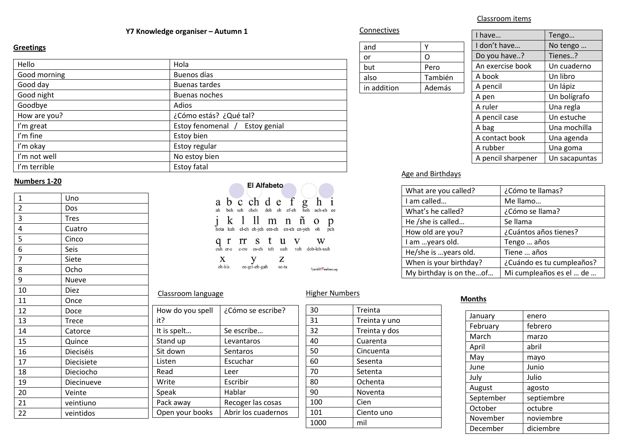# **Y7** Knowledge organiser – Autumn 1

#### **Greetings**

| Hello        | Hola                           |
|--------------|--------------------------------|
| Good morning | Buenos días                    |
| Good day     | <b>Buenas tardes</b>           |
| Good night   | Buenas noches                  |
| Goodbye      | Adios                          |
| How are you? | ¿Cómo estás? ¿Qué tal?         |
| I'm great    | Estoy fenomenal / Estoy genial |
| I'm fine     | Estoy bien                     |
| I'm okay     | Estoy regular                  |
| I'm not well | No estoy bien                  |
| I'm terrible | Estoy fatal                    |

### **Numbers 1-20**

| 1              | Uno          |             |
|----------------|--------------|-------------|
| $\overline{2}$ | Dos          |             |
| 3              | <b>Tres</b>  |             |
| 4              | Cuatro       |             |
| 5              | Cinco        |             |
| 6              | Seis         |             |
| 7              | Siete        |             |
| 8              | Ocho         |             |
| 9              | <b>Nueve</b> |             |
| 10             | <b>Diez</b>  | Classroon   |
| 11             | Once         |             |
| 12             | Doce         | How do yo   |
| 13             | <b>Trece</b> | it?         |
| 14             | Catorce      | It is spelt |
| 15             | Quince       | Stand up    |
| 16             | Dieciséis    | Sit down    |
| 17             | Diecisiete   | Listen      |
| 18             | Dieciocho    | Read        |
| 19             | Diecinueve   | Write       |
| 20             | Veinte       | Speak       |
| 21             | veintiuno    | Pack away   |
| 22             | veintidos    | Open you    |
|                |              |             |



Higher Numbers

30 Treinta 31 Treinta y uno 32 Treinta y dos 40 Cuarenta 50 Cincuenta 60 Sesenta 70 Setenta 80 Ochenta 90 Noventa 100 Cien 101 | Ciento uno

1000 mil

#### m language

| How do you spell | ¿Cómo se escribe?   |
|------------------|---------------------|
| it?              |                     |
| It is spelt      | Se escribe          |
| Stand up         | Levantaros          |
| Sit down         | Sentaros            |
| Listen           | Escuchar            |
| Read             | Leer                |
| Write            | Escribir            |
| Speak            | Hablar              |
| Pack away        | Recoger las cosas   |
| Open your books  | Abrir los cuadernos |
|                  |                     |

| and         |         |
|-------------|---------|
| or          | L       |
| but         | Pero    |
| also        | También |
| in addition | Además  |

| I have             | Tengo         |
|--------------------|---------------|
| I don't have       | No tengo      |
| Do you have?       | Tienes?       |
| An exercise book   | Un cuaderno   |
| A book             | Un libro      |
| A pencil           | Un lápiz      |
| A pen              | Un bolígrafo  |
| A ruler            | Una regla     |
| A pencil case      | Un estuche    |
| A bag              | Una mochilla  |
| A contact book     | Una agenda    |
| A rubber           | Una goma      |
| A pencil sharpener | Un sacapuntas |

# Age and Birthdays

| What are you called?    | ¿Cómo te llamas?          |
|-------------------------|---------------------------|
| I am called             | Me llamo                  |
| What's he called?       | ¿Cómo se llama?           |
| He /she is called       | Se llama                  |
| How old are you?        | ¿Cuántos años tienes?     |
| I am years old.         | Tengo  años               |
| He/she is years old.    | Tiene  años               |
| When is your birthday?  | ¿Cuándo es tu cumpleaños? |
| My birthday is on theof | Mi cumpleaños es el  de   |

#### **Months**

| January   | enero      |
|-----------|------------|
| February  | febrero    |
| March     | marzo      |
| April     | abril      |
| May       | mayo       |
| June      | Junio      |
| July      | Julio      |
| August    | agosto     |
| September | septiembre |
| October   | octubre    |
| November  | noviembre  |
| December  | diciembre  |

#### Classroom items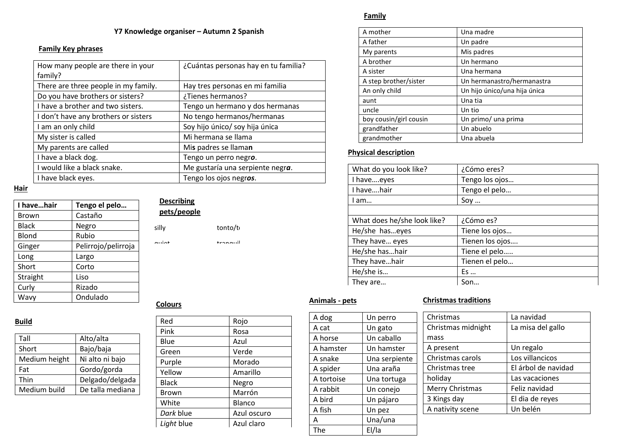# **Y7 Knowledge organiser – Autumn 2 Spanish**

### **Family Key phrases**

| How many people are there in your<br>family? | ¿Cuántas personas hay en tu familia? |
|----------------------------------------------|--------------------------------------|
| There are three people in my family.         | Hay tres personas en mi familia      |
| Do you have brothers or sisters?             | ¿Tienes hermanos?                    |
| I have a brother and two sisters.            | Tengo un hermano y dos hermanas      |
| I don't have any brothers or sisters         | No tengo hermanos/hermanas           |
| I am an only child                           | Soy hijo único/ soy hija única       |
| My sister is called                          | Mi hermana se llama                  |
| My parents are called                        | Mis padres se llaman                 |
| I have a black dog.                          | Tengo un perro negro.                |
| I would like a black snake.                  | Me gustaría una serpiente negra.     |
| I have black eyes.                           | Tengo los ojos negros.               |

#### **Hair**

| I havehair   | Tengo el pelo       |
|--------------|---------------------|
| <b>Brown</b> | Castaño             |
| <b>Black</b> | Negro               |
| Blond        | Rubio               |
| Ginger       | Pelirrojo/pelirroja |
| Long         | Largo               |
| Short        | Corto               |
| Straight     | Liso                |
| Curly        | Rizado              |
| Wavy         | Ondulado            |

# **Describing**

| pets/people              |          |
|--------------------------|----------|
| silly                    | tonto/to |
| $\sim$ $\sim$ $\sim$ $+$ | +ronouil |

### **Colours**

| ٠<br>.,<br>I<br>٦ |  |
|-------------------|--|
|                   |  |

| Tall          | Alto/alta        |
|---------------|------------------|
| Short         | Bajo/baja        |
| Medium height | Ni alto ni bajo  |
| Fat           | Gordo/gorda      |
| Thin          | Delgado/delgada  |
| Medium build  | De talla mediana |
|               |                  |

| Red          | Rojo        |
|--------------|-------------|
| Pink         | Rosa        |
| Blue         | Azul        |
| Green        | Verde       |
| Purple       | Morado      |
| Yellow       | Amarillo    |
| <b>Black</b> | Negro       |
| Brown        | Marrón      |
| White        | Blanco      |
| Dark blue    | Azul oscuro |
| Light blue   | Azul claro  |
|              |             |

# **Family**

| A mother               | Una madre                    |
|------------------------|------------------------------|
| A father               | Un padre                     |
| My parents             | Mis padres                   |
| A brother              | Un hermano                   |
| A sister               | Una hermana                  |
| A step brother/sister  | Un hermanastro/hermanastra   |
| An only child          | Un hijo único/una hija única |
| aunt                   | Una tia                      |
| uncle                  | Un tio                       |
| boy cousin/girl cousin | Un primo/ una prima          |
| grandfather            | Un abuelo                    |
| grandmother            | Una abuela                   |

# **Physical description**

| What do you look like?      | ¿Cómo eres?     |
|-----------------------------|-----------------|
| I haveeyes                  | Tengo los ojos  |
| I havehair                  | Tengo el pelo   |
| am                          | Soy             |
|                             |                 |
| What does he/she look like? | ¿Cómo es?       |
| He/she haseyes              | Tiene los ojos  |
| They have eyes              | Tienen los ojos |
| He/she hashair              | Tiene el pelo   |
| They havehair               | Tienen el pelo  |
| He/she is                   | $Es \dots$      |
| They are                    | Son             |

# **Animals - pets**

### **Christmas traditions**

| A dog      | Un perro      |
|------------|---------------|
| A cat      | Un gato       |
| A horse    | Un caballo    |
| A hamster  | Un hamster    |
| A snake    | Una serpiente |
| A spider   | Una araña     |
| A tortoise | Una tortuga   |
| A rabbit   | Un conejo     |
| A bird     | Un pájaro     |
| A fish     | Un pez        |
| А          | Una/una       |
|            | El/la         |

| Christmas          | La navidad          |
|--------------------|---------------------|
| Christmas midnight | La misa del gallo   |
| mass               |                     |
| A present          | Un regalo           |
| Christmas carols   | Los villancicos     |
| Christmas tree     | El árbol de navidad |
| holiday            | Las vacaciones      |
| Merry Christmas    | Feliz navidad       |
| 3 Kings day        | El dia de reyes     |
| A nativity scene   | Un belén            |
|                    |                     |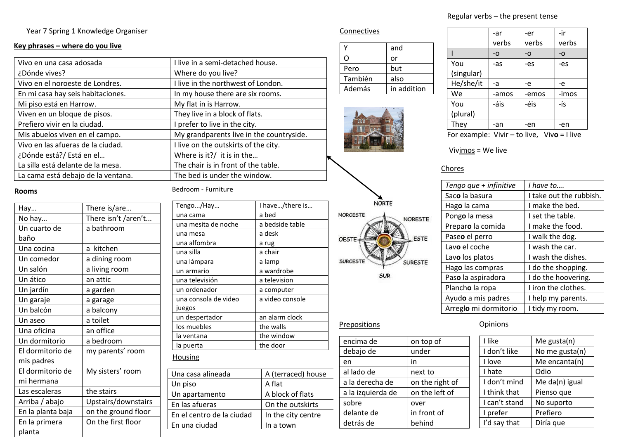Year 7 Spring 1 Knowledge Organiser

### **Key phrases – where do you live**

| Vivo en una casa adosada           | I live in a semi-detached house.         |
|------------------------------------|------------------------------------------|
| ¿Dónde vives?                      | Where do you live?                       |
| Vivo en el noroeste de Londres.    | I live in the northwest of London.       |
| En mi casa hay seis habitaciones.  | In my house there are six rooms.         |
| Mi piso está en Harrow.            | My flat in is Harrow.                    |
| Viven en un bloque de pisos.       | They live in a block of flats.           |
| Prefiero vivir en la ciudad.       | I prefer to live in the city.            |
| Mis abuelos viven en el campo.     | My grandparents live in the countryside. |
| Vivo en las afueras de la ciudad.  | I live on the outskirts of the city.     |
| ¿Dónde está?/ Está en el           | Where is it?/ it is in the               |
| La silla está delante de la mesa.  | The chair is in front of the table.      |
| La cama está debajo de la ventana. | The bed is under the window.             |

# **Rooms**

| Hay               | There is/are        |  |
|-------------------|---------------------|--|
| No hay            | There isn't /aren't |  |
| Un cuarto de      | a bathroom          |  |
| baño              |                     |  |
| Una cocina        | kitchen<br>a        |  |
| Un comedor        | a dining room       |  |
| Un salón          | a living room       |  |
| Un ático          | an attic            |  |
| Un jardín         | a garden            |  |
| Un garaje         | a garage            |  |
| Un balcón         | a balcony           |  |
| Un aseo           | a toilet            |  |
| Una oficina       | an office           |  |
| Un dormitorio     | a bedroom           |  |
| El dormitorio de  | my parents' room    |  |
| mis padres        |                     |  |
| El dormitorio de  | My sisters' room    |  |
| mi hermana        |                     |  |
| Las escaleras     | the stairs          |  |
| Arriba / abajo    | Upstairs/downstairs |  |
| En la planta baja | on the ground floor |  |
| En la primera     | On the first floor  |  |
| planta            |                     |  |

#### Bedroom - Furniture

| I have/there is    |  |
|--------------------|--|
|                    |  |
|                    |  |
|                    |  |
|                    |  |
|                    |  |
|                    |  |
|                    |  |
|                    |  |
|                    |  |
|                    |  |
|                    |  |
|                    |  |
|                    |  |
|                    |  |
|                    |  |
|                    |  |
|                    |  |
| A (terraced) house |  |
|                    |  |
| A block of flats   |  |
| On the outskirts   |  |
| In the city centre |  |
| In a town          |  |
|                    |  |

### **Connectives**

|         | and         |
|---------|-------------|
| ( )     | or          |
| Pero    | but         |
| También | also        |
| Además  | in addition |



NORTE

SUR

NORESTE

SURESTE

**ESTE** 

NOROESTE

OESTE

**SUROESTE** 

|            | -ar<br>verbs | -er<br>verbs | -ir<br>verbs |
|------------|--------------|--------------|--------------|
|            | -0           | -0           | -0           |
| You        | -as          | -es          | -es          |
| (singular) |              |              |              |
| He/she/it  | -a           | -e           | -e           |
| We         | -amos        | -emos        | -imos        |
| You        | -áis         | -éis         | -ís          |
| (plural)   |              |              |              |
| They       | -an          | -en          | -en          |

For example: Vivir – to live, Viv**o** = I live

Vivimos = We live

## **Chores**

| Tengo que + infinitive | I have to               |
|------------------------|-------------------------|
| Saco la basura         | I take out the rubbish. |
| Hago la cama           | I make the bed.         |
| Pongo la mesa          | I set the table.        |
| Preparo la comida      | I make the food.        |
| Paseo el perro         | I walk the dog.         |
| Lavo el coche          | I wash the car.         |
| Lavo los platos        | I wash the dishes.      |
| Hago las compras       | I do the shopping.      |
| Paso la aspiradora     | I do the hoovering.     |
| Plancho la ropa        | I iron the clothes.     |
| Ayudo a mis padres     | I help my parents.      |
| Arreglo mi dormitorio  | I tidy my room.         |

### **Prepositions**

| on top of       |
|-----------------|
| under           |
| in              |
| next to         |
| on the right of |
| on the left of  |
| over            |
| in front of     |
| behind          |
|                 |

# **Opinions**

| I like        | Me gusta(n)    |
|---------------|----------------|
| I don't like  | No me gusta(n) |
| I love        | Me encanta(n)  |
| I hate        | Odio           |
| I don't mind  | Me da(n) igual |
| I think that  | Pienso que     |
| I can't stand | No suporto     |
| I prefer      | Prefiero       |
| I'd say that  | Diría que      |

# Regular verbs – the present tense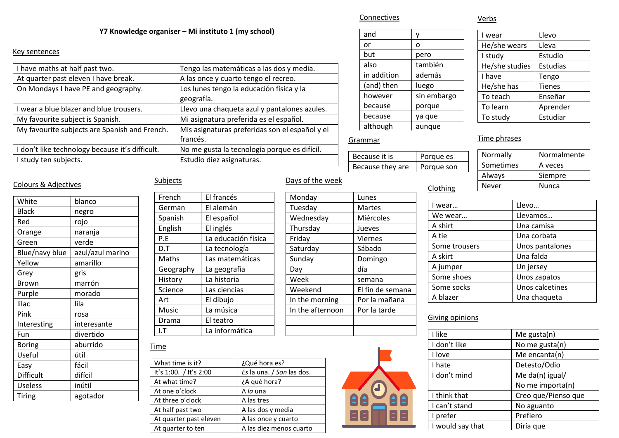#### **Y7 Knowledge organiser – Mi instituto 1 (my school)**

#### Key sentences

| I have maths at half past two.                  | Tengo las matemáticas a las dos y media.       |
|-------------------------------------------------|------------------------------------------------|
| At quarter past eleven I have break.            | A las once y cuarto tengo el recreo.           |
| On Mondays I have PE and geography.             | Los lunes tengo la educación física y la       |
|                                                 | geografía.                                     |
| I wear a blue blazer and blue trousers.         | Llevo una chaqueta azul y pantalones azules.   |
| My favourite subject is Spanish.                | Mi asignatura preferida es el español.         |
| My favourite subjects are Spanish and French.   | Mis asignaturas preferidas son el español y el |
|                                                 | francés.                                       |
| I don't like technology because it's difficult. | No me gusta la tecnología porque es difícil.   |
| I study ten subjects.                           | Estudio diez asignaturas.                      |
|                                                 |                                                |

| and         |             |
|-------------|-------------|
| or          | 0           |
| but         | pero        |
| also        | también     |
| in addition | además      |
| (and) then  | luego       |
| however     | sin embargo |
| because     | porque      |
| because     | ya que      |
| although    | aunque      |

#### **Grammar**

Connectives

| Because it is    | Porque es  |
|------------------|------------|
| Because they are | Porque son |

# I wear Llevo<br>He/she wears Lleva He/she wears I study Estudio He/she studies Estudias I have Tengo He/she has Tienes To teach Enseñar To learn | Aprender To study Estudiar

# Time phrases

Verbs

| Normally  | Normalmente  |
|-----------|--------------|
| Sometimes | A veces      |
| Always    | Siempre      |
| Never     | <b>Nunca</b> |

# Colours & Adjectives

| White          | blanco           |
|----------------|------------------|
| <b>Black</b>   | negro            |
| Red            | rojo             |
| Orange         | naranja          |
| Green          | verde            |
| Blue/navy blue | azul/azul marino |
| Yellow         | amarillo         |
| Grey           | gris             |
| Brown          | marrón           |
| Purple         | morado           |
| lilac          | lila             |
| Pink           | rosa             |
| Interesting    | interesante      |
| Fun            | divertido        |
| <b>Boring</b>  | aburrido         |
| Useful         | útil             |
| Easy           | fácil            |
| Difficult      | difícil          |
| <b>Useless</b> | inútil           |
| <b>Tiring</b>  | agotador         |

# Subjects

| French    | El francés          |
|-----------|---------------------|
| German    | El alemán           |
| Spanish   | El español          |
| English   | El inglés           |
| P.E       | La educación física |
| D.T       | La tecnología       |
| Maths     | Las matemáticas     |
| Geography | La geografía        |
| History   | La historia         |
| Science   | Las ciencias        |
| Art       | El dibujo           |
| Music     | La música           |
| Drama     | El teatro           |
|           | La informática      |

# Monday Lunes Tuesday Wednesday Thursday Friday Saturday Sunday Day Week Weekend In the morning In the afterno

Days of the week

|    | Martes           | W              |
|----|------------------|----------------|
|    | Miércoles        | W <sub>6</sub> |
|    | Jueves           | A s            |
|    | <b>Viernes</b>   | A t            |
|    | Sábado           | Sol            |
|    | Domingo          | A s            |
|    | día              | A j            |
|    | semana           | Sol            |
|    | El fin de semana | Sor            |
|    | Por la mañana    | A b            |
| g  |                  |                |
| on | Por la tarde     |                |

| l wear        | Llevo           |
|---------------|-----------------|
| We wear       | Llevamos        |
| A shirt       | Una camisa      |
| A tie         | Una corbata     |
| Some trousers | Unos pantalones |
| A skirt       | Una falda       |
| A jumper      | Un jersey       |
| Some shoes    | Unos zapatos    |
| Some socks    | Unos calcetines |
| A blazer      | Una chaqueta    |

# Giving opinions

**Clothing** 

| I like           | Me gusta $(n)$      |
|------------------|---------------------|
| I don't like     | No me gusta(n)      |
| I love           | Me encanta(n)       |
| I hate           | Detesto/Odio        |
| I don't mind     | Me da(n) igual/     |
|                  | No me importa(n)    |
| I think that     | Creo que/Pienso que |
| I can't stand    | No aguanto          |
| I prefer         | Prefiero            |
| I would say that | Diría que           |

### Time

| ¿Qué hora es?             |
|---------------------------|
| Es la una. / Son las dos. |
| ¿A qué hora?              |
| A la una                  |
| A las tres                |
| A las dos y media         |
| A las once y cuarto       |
| A las diez menos cuarto   |
|                           |

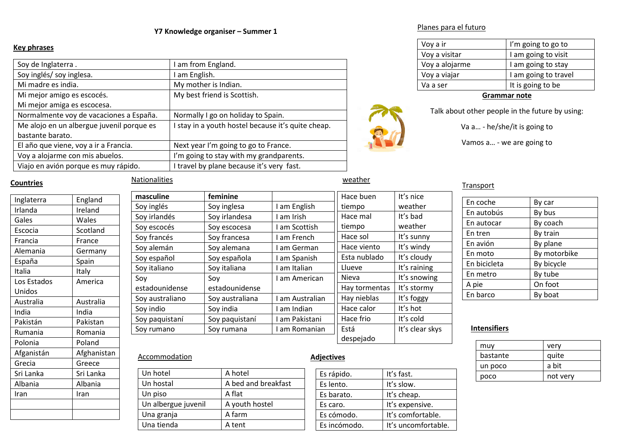#### **Y7 Knowledge organiser – Summer 1**

#### **Key phrases**

| Soy de Inglaterra.                        | am from England.                                 |
|-------------------------------------------|--------------------------------------------------|
| Soy inglés/ soy inglesa.                  | am English.                                      |
| Mi madre es india.                        | My mother is Indian.                             |
| Mi mejor amigo es escocés.                | My best friend is Scottish.                      |
| Mi mejor amiga es escocesa.               |                                                  |
| Normalmente voy de vacaciones a España.   | Normally I go on holiday to Spain.               |
| Me alojo en un albergue juvenil porque es | stay in a youth hostel because it's quite cheap. |
| bastante barato.                          |                                                  |
| El año que viene, voy a ir a Francia.     | Next year I'm going to go to France.             |
| Voy a alojarme con mis abuelos.           | I'm going to stay with my grandparents.          |
| Viajo en avión porque es muy rápido.      | I travel by plane because it's very fast.        |



weather

#### **Countries**

| Inglaterra  | England     |
|-------------|-------------|
| Irlanda     | Ireland     |
| Gales       | Wales       |
| Escocia     | Scotland    |
| Francia     | France      |
| Alemania    | Germany     |
| España      | Spain       |
| Italia      | Italy       |
| Los Estados | America     |
| Unidos      |             |
| Australia   | Australia   |
| India       | India       |
| Pakistán    | Pakistan    |
| Rumania     | Romania     |
| Polonia     | Poland      |
| Afganistán  | Afghanistan |
| Grecia      | Greece      |
| Sri Lanka   | Sri Lanka   |
| Albania     | Albania     |
| Iran        | Iran        |
|             |             |
|             |             |
|             |             |

# **Nationalities**

| masculine       | feminine        |                 | Hace buen     | It's nice       |
|-----------------|-----------------|-----------------|---------------|-----------------|
| Soy inglés      | Soy inglesa     | I am English    | tiempo        | weather         |
| Soy irlandés    | Soy irlandesa   | I am Irish      | Hace mal      | It's bad        |
| Soy escocés     | Soy escocesa    | I am Scottish   | tiempo        | weather         |
| Soy francés     | Soy francesa    | I am French     | Hace sol      | It's sunny      |
| Soy alemán      | Soy alemana     | I am German     | Hace viento   | It's windy      |
| Soy español     | Soy española    | I am Spanish    | Esta nublado  | It's cloudy     |
| Soy italiano    | Soy italiana    | I am Italian    | Llueve        | It's raining    |
| Soy             | Soy             | I am American   | Nieva         | It's snowing    |
| estadounidense  | estadounidense  |                 | Hay tormentas | It's stormy     |
| Soy australiano | Soy australiana | I am Australian | Hay nieblas   | It's foggy      |
| Soy indio       | Soy india       | I am Indian     | Hace calor    | It's hot        |
| Soy paquistaní  | Soy paquistaní  | I am Pakistani  | Hace frio     | It's cold       |
| Soy rumano      | Soy rumana      | I am Romanian   | Está          | It's clear skys |
|                 |                 |                 | despejado     |                 |

#### Planes para el futuro

| Voy a ir       | I'm going to go to   |
|----------------|----------------------|
| Voy a visitar  | I am going to visit  |
| Voy a alojarme | I am going to stay   |
| Voy a viajar   | I am going to travel |
| Va a ser       | It is going to be    |

#### **Grammar note**

Talk about other people in the future by using:

Va a… - he/she/it is going to

Vamos a… - we are going to

#### **Transport**

| En coche     | By car       |
|--------------|--------------|
| En autobús   | By bus       |
| En autocar   | By coach     |
| En tren      | By train     |
| En avión     | By plane     |
| En moto      | By motorbike |
| En bicicleta | By bicycle   |
| En metro     | By tube      |
| A pie        | On foot      |
| En barco     | By boat      |

# **Intensifiers**

| muy      | very     |
|----------|----------|
| bastante | quite    |
| un poco  | a bit    |
| poco     | not very |

#### Accommodation

| Un hotel            | A hotel             |
|---------------------|---------------------|
| Un hostal           | A bed and breakfast |
| Un piso             | A flat              |
| Un albergue juvenil | A youth hostel      |
| Una granja          | A farm              |
| Una tienda          | A tent              |

# Es rápido. It's fast. Es lento. It's slow. Es barato. It's cheap. Es caro. **It's expensive.**

|                   | despejado |          |
|-------------------|-----------|----------|
| <b>Adjectives</b> |           |          |
| Es rápido.        |           | It's fas |

Es cómodo. It's comfortable. Es incómodo. | It's uncomfortable.